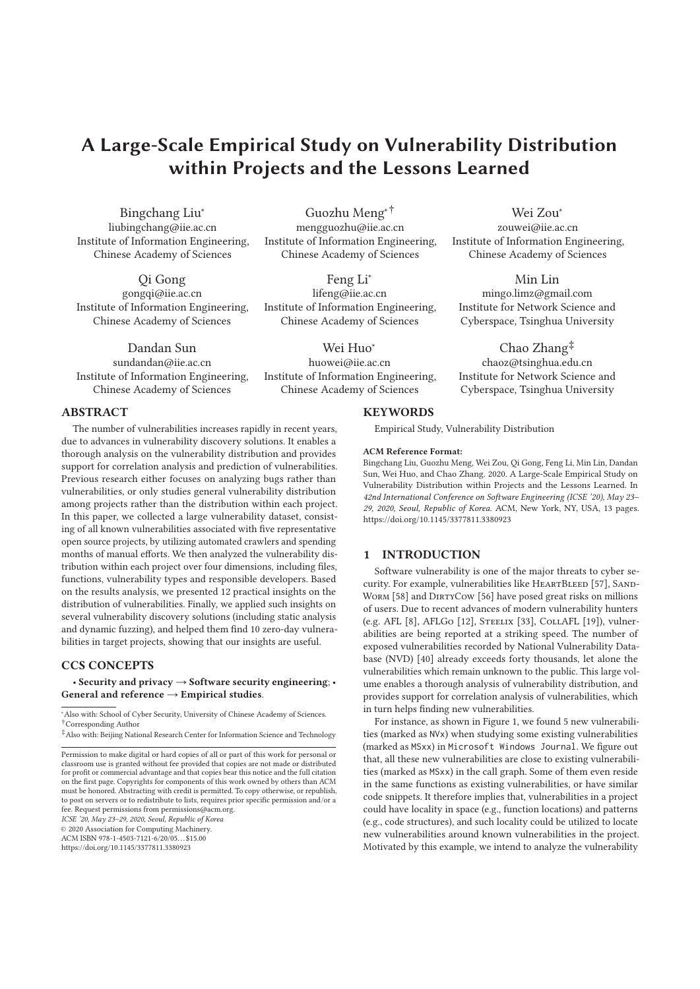# **A Large-Scale Empirical Study on Vulnerability Distribution within Projects and the Lessons Learned**

Bingchang Liu<sup>∗</sup> liubingchang@iie.ac.cn Institute of Information Engineering, Chinese Academy of Sciences

Qi Gong gongqi@iie.ac.cn Institute of Information Engineering, Chinese Academy of Sciences

Dandan Sun sundandan@iie.ac.cn Institute of Information Engineering, Chinese Academy of Sciences

Guozhu Meng∗† mengguozhu@iie.ac.cn Institute of Information Engineering, Chinese Academy of Sciences

Feng Li∗ lifeng@iie.ac.cn Institute of Information Engineering, Chinese Academy of Sciences

Wei Huo∗ huowei@iie.ac.cn Institute of Information Engineering, Chinese Academy of Sciences

Wei Zou∗ zouwei@iie.ac.cn Institute of Information Engineering, Chinese Academy of Sciences

## Min Lin

mingo.limz@gmail.com Institute for Network Science and Cyberspace, Tsinghua University

Chao Zhang‡ chaoz@tsinghua.edu.cn Institute for Network Science and Cyberspace, Tsinghua University

## **ABSTRACT**

The number of vulnerabilities increases rapidly in recent years, due to advances in vulnerability discovery solutions. It enables a thorough analysis on the vulnerability distribution and provides support for correlation analysis and prediction of vulnerabilities. Previous research either focuses on analyzing bugs rather than vulnerabilities, or only studies general vulnerability distribution among projects rather than the distribution within each project. In this paper, we collected a large vulnerability dataset, consisting of all known vulnerabilities associated with five representative open source projects, by utilizing automated crawlers and spending months of manual efforts. We then analyzed the vulnerability distribution within each project over four dimensions, including files, functions, vulnerability types and responsible developers. Based on the results analysis, we presented 12 practical insights on the distribution of vulnerabilities. Finally, we applied such insights on several vulnerability discovery solutions (including static analysis and dynamic fuzzing), and helped them find 10 zero-day vulnerabilities in target projects, showing that our insights are useful.

#### **CCS CONCEPTS**

• **Security and privacy** → **Software security engineering**; • **General and reference** → **Empirical studies**.

ACM ISBN 978-1-4503-7121-6/20/05. . . \$15.00

#### **KEYWORDS**

Empirical Study, Vulnerability Distribution

#### **ACM Reference Format:**

Bingchang Liu, Guozhu Meng, Wei Zou, Qi Gong, Feng Li, Min Lin, Dandan Sun, Wei Huo, and Chao Zhang. 2020. A Large-Scale Empirical Study on Vulnerability Distribution within Projects and the Lessons Learned. In *42nd International Conference on Software Engineering (ICSE '20), May 23– 29, 2020, Seoul, Republic of Korea.* ACM, New York, NY, USA, 13 pages. https://doi.org/10.1145/3377811.3380923

## **1 INTRODUCTION**

Software vulnerability is one of the major threats to cyber security. For example, vulnerabilities like HEARTBLEED [57], SAND-WORM [58] and DIRTYCOW [56] have posed great risks on millions of users. Due to recent advances of modern vulnerability hunters (e.g. AFL [8], AFLGo [12], Steelix [33], CollAFL [19]), vulnerabilities are being reported at a striking speed. The number of exposed vulnerabilities recorded by National Vulnerability Database (NVD) [40] already exceeds forty thousands, let alone the vulnerabilities which remain unknown to the public. This large volume enables a thorough analysis of vulnerability distribution, and provides support for correlation analysis of vulnerabilities, which in turn helps finding new vulnerabilities.

For instance, as shown in Figure 1, we found 5 new vulnerabilities (marked as NVx) when studying some existing vulnerabilities (marked as MSxx) in Microsoft Windows Journal. We figure out that, all these new vulnerabilities are close to existing vulnerabilities (marked as MSxx) in the call graph. Some of them even reside in the same functions as existing vulnerabilities, or have similar code snippets. It therefore implies that, vulnerabilities in a project could have locality in space (e.g., function locations) and patterns (e.g., code structures), and such locality could be utilized to locate new vulnerabilities around known vulnerabilities in the project. Motivated by this example, we intend to analyze the vulnerability

<sup>∗</sup> Also with: School of Cyber Security, University of Chinese Academy of Sciences. †Corresponding Author

<sup>‡</sup>Also with: Beijing National Research Center for Information Science and Technology

Permission to make digital or hard copies of all or part of this work for personal or classroom use is granted without fee provided that copies are not made or distributed for profit or commercial advantage and that copies bear this notice and the full citation on the first page. Copyrights for components of this work owned by others than ACM must be honored. Abstracting with credit is permitted. To copy otherwise, or republish, to post on servers or to redistribute to lists, requires prior specific permission and/or a fee. Request permissions from permissions@acm.org.

*ICSE '20, May 23–29, 2020, Seoul, Republic of Korea*

<sup>© 2020</sup> Association for Computing Machinery.

https://doi.org/10.1145/3377811.3380923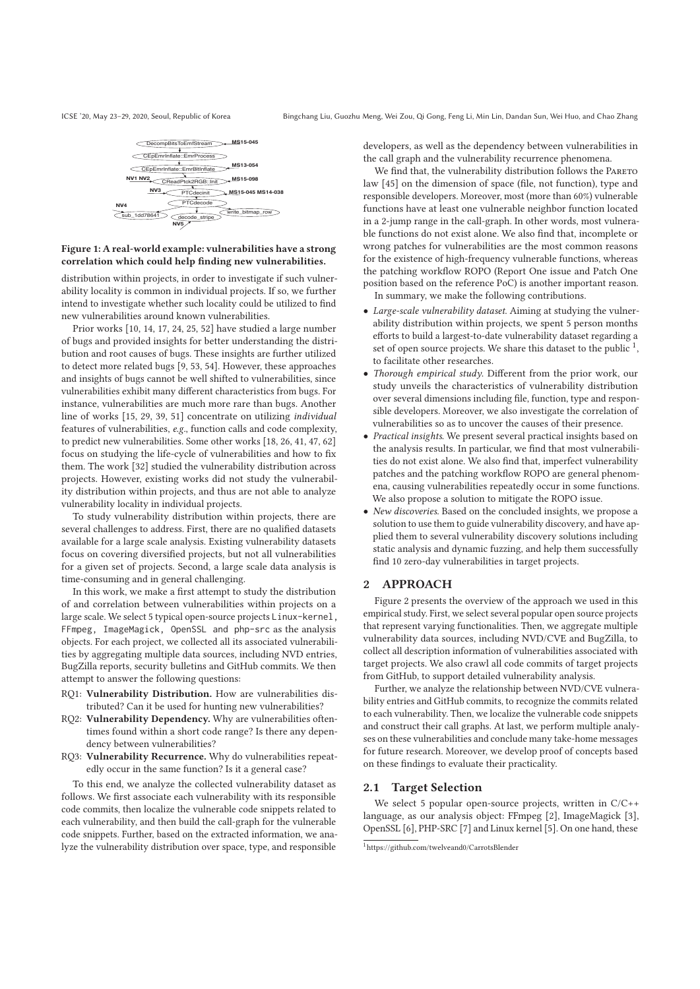

## **Figure 1: A real-world example: vulnerabilities have a strong correlation which could help finding new vulnerabilities.**

distribution within projects, in order to investigate if such vulnerability locality is common in individual projects. If so, we further intend to investigate whether such locality could be utilized to find new vulnerabilities around known vulnerabilities.

Prior works [10, 14, 17, 24, 25, 52] have studied a large number of bugs and provided insights for better understanding the distribution and root causes of bugs. These insights are further utilized to detect more related bugs [9, 53, 54]. However, these approaches and insights of bugs cannot be well shifted to vulnerabilities, since vulnerabilities exhibit many different characteristics from bugs. For instance, vulnerabilities are much more rare than bugs. Another line of works [15, 29, 39, 51] concentrate on utilizing *individual* features of vulnerabilities, *e.g.*, function calls and code complexity, to predict new vulnerabilities. Some other works [18, 26, 41, 47, 62] focus on studying the life-cycle of vulnerabilities and how to fix them. The work [32] studied the vulnerability distribution across projects. However, existing works did not study the vulnerability distribution within projects, and thus are not able to analyze vulnerability locality in individual projects.

To study vulnerability distribution within projects, there are several challenges to address. First, there are no qualified datasets available for a large scale analysis. Existing vulnerability datasets focus on covering diversified projects, but not all vulnerabilities for a given set of projects. Second, a large scale data analysis is time-consuming and in general challenging.

In this work, we make a first attempt to study the distribution of and correlation between vulnerabilities within projects on a large scale. We select 5 typical open-source projects Linux-kernel, FFmpeg, ImageMagick, OpenSSL and php-src as the analysis objects. For each project, we collected all its associated vulnerabilities by aggregating multiple data sources, including NVD entries, BugZilla reports, security bulletins and GitHub commits. We then attempt to answer the following questions:

- RQ1: **Vulnerability Distribution.** How are vulnerabilities distributed? Can it be used for hunting new vulnerabilities?
- RQ2: **Vulnerability Dependency.** Why are vulnerabilities oftentimes found within a short code range? Is there any dependency between vulnerabilities?
- RQ3: **Vulnerability Recurrence.** Why do vulnerabilities repeatedly occur in the same function? Is it a general case?

To this end, we analyze the collected vulnerability dataset as follows. We first associate each vulnerability with its responsible code commits, then localize the vulnerable code snippets related to each vulnerability, and then build the call-graph for the vulnerable code snippets. Further, based on the extracted information, we analyze the vulnerability distribution over space, type, and responsible

developers, as well as the dependency between vulnerabilities in the call graph and the vulnerability recurrence phenomena.

We find that, the vulnerability distribution follows the PARETO law [45] on the dimension of space (file, not function), type and responsible developers. Moreover, most (more than 60%) vulnerable functions have at least one vulnerable neighbor function located in a 2-jump range in the call-graph. In other words, most vulnerable functions do not exist alone. We also find that, incomplete or wrong patches for vulnerabilities are the most common reasons for the existence of high-frequency vulnerable functions, whereas the patching workflow ROPO (Report One issue and Patch One position based on the reference PoC) is another important reason. In summary, we make the following contributions.

- *Large-scale vulnerability dataset*. Aiming at studying the vulnerability distribution within projects, we spent 5 person months efforts to build a largest-to-date vulnerability dataset regarding a set of open source projects. We share this dataset to the public  $<sup>1</sup>$ ,</sup> to facilitate other researches.
- *Thorough empirical study*. Different from the prior work, our study unveils the characteristics of vulnerability distribution over several dimensions including file, function, type and responsible developers. Moreover, we also investigate the correlation of vulnerabilities so as to uncover the causes of their presence.
- *Practical insights*. We present several practical insights based on the analysis results. In particular, we find that most vulnerabilities do not exist alone. We also find that, imperfect vulnerability patches and the patching workflow ROPO are general phenomena, causing vulnerabilities repeatedly occur in some functions. We also propose a solution to mitigate the ROPO issue.
- *New discoveries*. Based on the concluded insights, we propose a solution to use them to guide vulnerability discovery, and have applied them to several vulnerability discovery solutions including static analysis and dynamic fuzzing, and help them successfully find 10 zero-day vulnerabilities in target projects.

#### **2 APPROACH**

Figure 2 presents the overview of the approach we used in this empirical study. First, we select several popular open source projects that represent varying functionalities. Then, we aggregate multiple vulnerability data sources, including NVD/CVE and BugZilla, to collect all description information of vulnerabilities associated with target projects. We also crawl all code commits of target projects from GitHub, to support detailed vulnerability analysis.

Further, we analyze the relationship between NVD/CVE vulnerability entries and GitHub commits, to recognize the commits related to each vulnerability. Then, we localize the vulnerable code snippets and construct their call graphs. At last, we perform multiple analyses on these vulnerabilities and conclude many take-home messages for future research. Moreover, we develop proof of concepts based on these findings to evaluate their practicality.

## **2.1 Target Selection**

We select 5 popular open-source projects, written in C/C++ language, as our analysis object: FFmpeg [2], ImageMagick [3], OpenSSL [6], PHP-SRC [7] and Linux kernel [5]. On one hand, these

<sup>1</sup>https://github.com/twelveand0/CarrotsBlender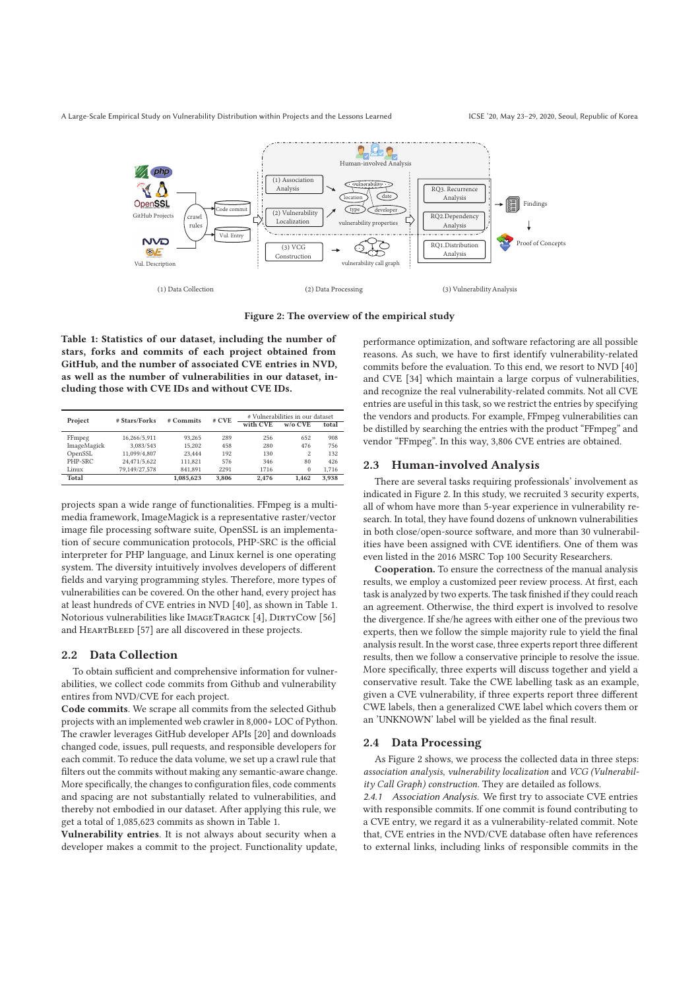

**Figure 2: The overview of the empirical study**

**Table 1: Statistics of our dataset, including the number of stars, forks and commits of each project obtained from GitHub, and the number of associated CVE entries in NVD, as well as the number of vulnerabilities in our dataset, including those with CVE IDs and without CVE IDs.**

| Project     | # Stars/Forks | $#$ Commits | $#$ CVE | # Vulnerabilities in our dataset |                |       |
|-------------|---------------|-------------|---------|----------------------------------|----------------|-------|
|             |               |             |         | with CVE                         | $w/\alpha$ CVE | total |
| FFmpeg      | 16.266/5.911  | 93.265      | 289     | 256                              | 652            | 908   |
| ImageMagick | 3.083/543     | 15.202      | 458     | 280                              | 476            | 756   |
| OpenSSL     | 11.099/4.807  | 23.444      | 192     | 130                              | $\overline{c}$ | 132   |
| PHP-SRC     | 24,471/5,622  | 111.821     | 576     | 346                              | 80             | 426   |
| Linux       | 79.149/27.578 | 841.891     | 2291    | 1716                             | $\mathbf{0}$   | 1.716 |
| Total       |               | 1.085.623   | 3.806   | 2.476                            | 1.462          | 3.938 |

projects span a wide range of functionalities. FFmpeg is a multimedia framework, ImageMagick is a representative raster/vector image file processing software suite, OpenSSL is an implementation of secure communication protocols, PHP-SRC is the official interpreter for PHP language, and Linux kernel is one operating system. The diversity intuitively involves developers of different fields and varying programming styles. Therefore, more types of vulnerabilities can be covered. On the other hand, every project has at least hundreds of CVE entries in NVD [40], as shown in Table 1. Notorious vulnerabilities like IMAGETRAGICK [4], DIRTYCOW [56] and HEARTBLEED [57] are all discovered in these projects.

#### **2.2 Data Collection**

To obtain sufficient and comprehensive information for vulnerabilities, we collect code commits from Github and vulnerability entires from NVD/CVE for each project.

**Code commits**. We scrape all commits from the selected Github projects with an implemented web crawler in 8,000+ LOC of Python. The crawler leverages GitHub developer APIs [20] and downloads changed code, issues, pull requests, and responsible developers for each commit. To reduce the data volume, we set up a crawl rule that filters out the commits without making any semantic-aware change. More specifically, the changes to configuration files, code comments and spacing are not substantially related to vulnerabilities, and thereby not embodied in our dataset. After applying this rule, we get a total of 1,085,623 commits as shown in Table 1.

**Vulnerability entries**. It is not always about security when a developer makes a commit to the project. Functionality update, performance optimization, and software refactoring are all possible reasons. As such, we have to first identify vulnerability-related commits before the evaluation. To this end, we resort to NVD [40] and CVE [34] which maintain a large corpus of vulnerabilities, and recognize the real vulnerability-related commits. Not all CVE entries are useful in this task, so we restrict the entries by specifying the vendors and products. For example, FFmpeg vulnerabilities can be distilled by searching the entries with the product "FFmpeg" and vendor "FFmpeg". In this way, 3,806 CVE entries are obtained.

#### **2.3 Human-involved Analysis**

There are several tasks requiring professionals' involvement as indicated in Figure 2. In this study, we recruited 3 security experts, all of whom have more than 5-year experience in vulnerability research. In total, they have found dozens of unknown vulnerabilities in both close/open-source software, and more than 30 vulnerabilities have been assigned with CVE identifiers. One of them was even listed in the 2016 MSRC Top 100 Security Researchers.

**Cooperation.** To ensure the correctness of the manual analysis results, we employ a customized peer review process. At first, each task is analyzed by two experts. The task finished if they could reach an agreement. Otherwise, the third expert is involved to resolve the divergence. If she/he agrees with either one of the previous two experts, then we follow the simple majority rule to yield the final analysis result. In the worst case, three experts report three different results, then we follow a conservative principle to resolve the issue. More specifically, three experts will discuss together and yield a conservative result. Take the CWE labelling task as an example, given a CVE vulnerability, if three experts report three different CWE labels, then a generalized CWE label which covers them or an 'UNKNOWN' label will be yielded as the final result.

#### **2.4 Data Processing**

As Figure 2 shows, we process the collected data in three steps: *association analysis*, *vulnerability localization* and *VCG (Vulnerability Call Graph) construction*. They are detailed as follows.

*2.4.1 Association Analysis.* We first try to associate CVE entries with responsible commits. If one commit is found contributing to a CVE entry, we regard it as a vulnerability-related commit. Note that, CVE entries in the NVD/CVE database often have references to external links, including links of responsible commits in the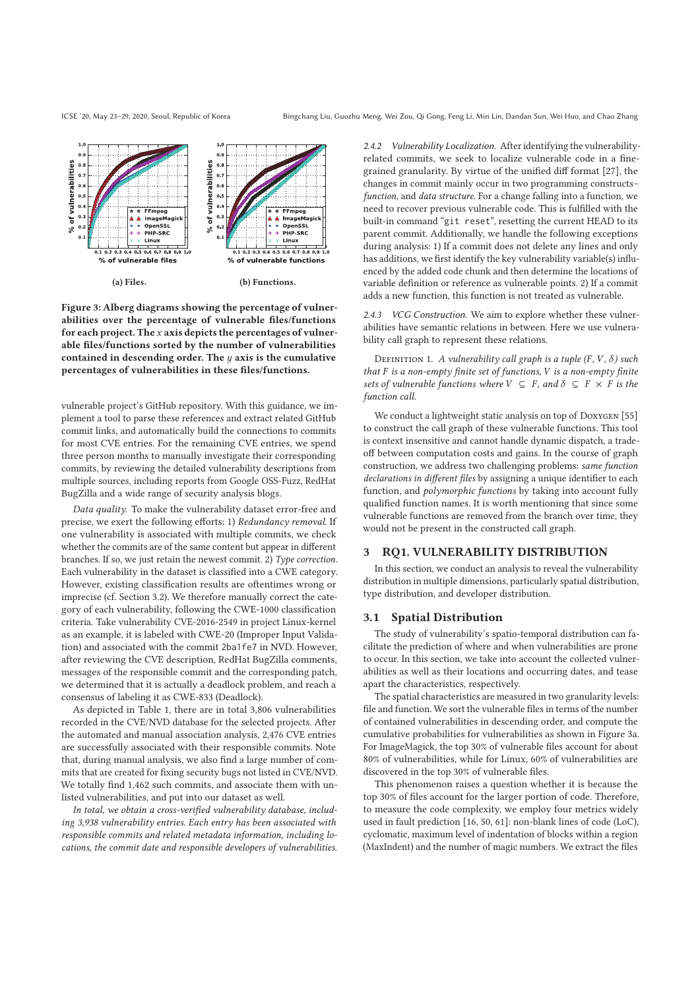

**Figure 3: Alberg diagrams showing the percentage of vulnerabilities over the percentage of vulnerable files/functions for each project. The** x **axis depicts the percentages of vulnerable files/functions sorted by the number of vulnerabilities contained in descending order. The** y **axis is the cumulative percentages of vulnerabilities in these files/functions.**

vulnerable project's GitHub repository. With this guidance, we implement a tool to parse these references and extract related GitHub commit links, and automatically build the connections to commits for most CVE entries. For the remaining CVE entries, we spend three person months to manually investigate their corresponding commits, by reviewing the detailed vulnerability descriptions from multiple sources, including reports from Google OSS-Fuzz, RedHat BugZilla and a wide range of security analysis blogs.

*Data quality.* To make the vulnerability dataset error-free and precise, we exert the following efforts: 1) *Redundancy removal*. If one vulnerability is associated with multiple commits, we check whether the commits are of the same content but appear in different branches. If so, we just retain the newest commit. 2) *Type correction*. Each vulnerability in the dataset is classified into a CWE category. However, existing classification results are oftentimes wrong or imprecise (cf. Section 3.2). We therefore manually correct the category of each vulnerability, following the CWE-1000 classification criteria. Take vulnerability CVE-2016-2549 in project Linux-kernel as an example, it is labeled with CWE-20 (Improper Input Validation) and associated with the commit 2ba1fe7 in NVD. However, after reviewing the CVE description, RedHat BugZilla comments, messages of the responsible commit and the corresponding patch, we determined that it is actually a deadlock problem, and reach a consensus of labeling it as CWE-833 (Deadlock).

As depicted in Table 1, there are in total 3,806 vulnerabilities recorded in the CVE/NVD database for the selected projects. After the automated and manual association analysis, 2,476 CVE entries are successfully associated with their responsible commits. Note that, during manual analysis, we also find a large number of commits that are created for fixing security bugs not listed in CVE/NVD. We totally find 1,462 such commits, and associate them with unlisted vulnerabilities, and put into our dataset as well.

*In total, we obtain a cross-verified vulnerability database, including 3,938 vulnerability entries. Each entry has been associated with responsible commits and related metadata information, including locations, the commit date and responsible developers of vulnerabilities.*

*2.4.2 Vulnerability Localization.* After identifying the vulnerabilityrelated commits, we seek to localize vulnerable code in a finegrained granularity. By virtue of the unified diff format [27], the changes in commit mainly occur in two programming constructs– *function*, and *data structure*. For a change falling into a function, we need to recover previous vulnerable code. This is fulfilled with the built-in command "git reset", resetting the current HEAD to its parent commit. Additionally, we handle the following exceptions during analysis: 1) If a commit does not delete any lines and only has additions, we first identify the key vulnerability variable(s) influenced by the added code chunk and then determine the locations of variable definition or reference as vulnerable points. 2) If a commit adds a new function, this function is not treated as vulnerable.

*2.4.3 VCG Construction.* We aim to explore whether these vulnerabilities have semantic relations in between. Here we use vulnerability call graph to represent these relations.

DEFINITION 1. *A vulnerability call graph is a tuple*  $(F, V, \delta)$  *such that* F *is a non-empty finite set of functions,* V *is a non-empty finite sets of vulnerable functions where*  $V \subseteq F$ *, and*  $\delta \subseteq F \times F$  *is the function call.*

We conduct a lightweight static analysis on top of DOXYGEN [55] to construct the call graph of these vulnerable functions. This tool is context insensitive and cannot handle dynamic dispatch, a tradeoff between computation costs and gains. In the course of graph construction, we address two challenging problems: *same function declarations in different files* by assigning a unique identifier to each function, and *polymorphic functions* by taking into account fully qualified function names. It is worth mentioning that since some vulnerable functions are removed from the branch over time, they would not be present in the constructed call graph.

#### **3 RQ1. VULNERABILITY DISTRIBUTION**

In this section, we conduct an analysis to reveal the vulnerability distribution in multiple dimensions, particularly spatial distribution, type distribution, and developer distribution.

#### **3.1 Spatial Distribution**

The study of vulnerability's spatio-temporal distribution can facilitate the prediction of where and when vulnerabilities are prone to occur. In this section, we take into account the collected vulnerabilities as well as their locations and occurring dates, and tease apart the characteristics, respectively.

The spatial characteristics are measured in two granularity levels: file and function. We sort the vulnerable files in terms of the number of contained vulnerabilities in descending order, and compute the cumulative probabilities for vulnerabilities as shown in Figure 3a. For ImageMagick, the top 30% of vulnerable files account for about 80% of vulnerabilities, while for Linux, 60% of vulnerabilities are discovered in the top 30% of vulnerable files.

This phenomenon raises a question whether it is because the top 30% of files account for the larger portion of code. Therefore, to measure the code complexity, we employ four metrics widely used in fault prediction [16, 50, 61]: non-blank lines of code (LoC), cyclomatic, maximum level of indentation of blocks within a region (MaxIndent) and the number of magic numbers. We extract the files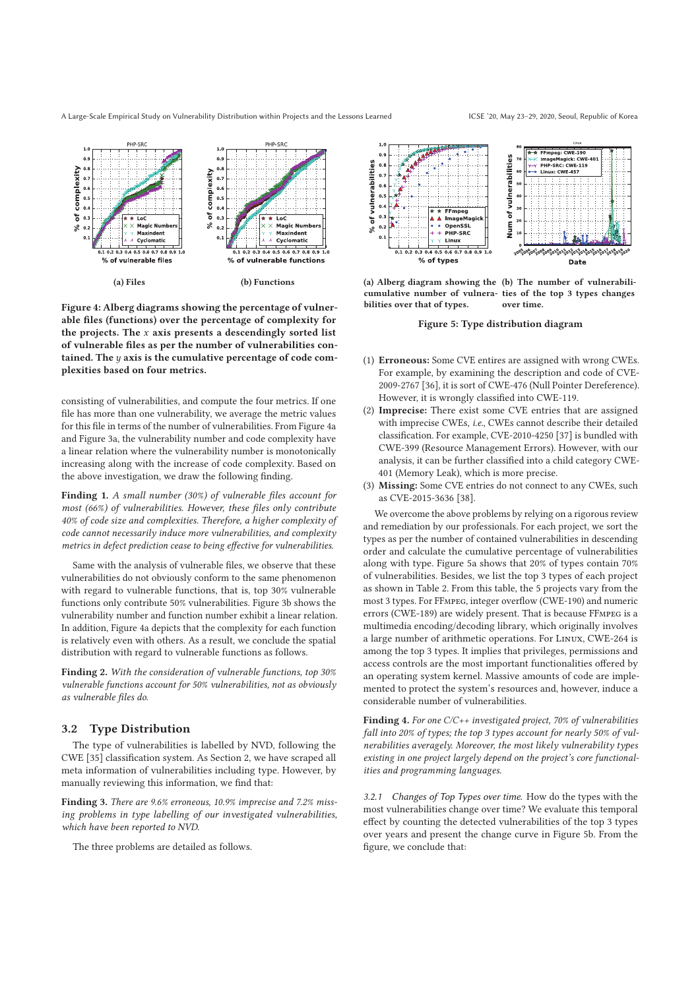A Large-Scale Empirical Study on Vulnerability Distribution within Projects and the Lessons Learned ICSE '20, May 23–29, 2020, Seoul, Republic of Korea



**Figure 4: Alberg diagrams showing the percentage of vulnerable files (functions) over the percentage of complexity for the projects. The** x **axis presents a descendingly sorted list of vulnerable files as per the number of vulnerabilities contained. The** y **axis is the cumulative percentage of code complexities based on four metrics.**

consisting of vulnerabilities, and compute the four metrics. If one file has more than one vulnerability, we average the metric values for this file in terms of the number of vulnerabilities. From Figure 4a and Figure 3a, the vulnerability number and code complexity have a linear relation where the vulnerability number is monotonically increasing along with the increase of code complexity. Based on the above investigation, we draw the following finding.

**Finding 1.** *A small number (30%) of vulnerable files account for most (66%) of vulnerabilities. However, these files only contribute 40% of code size and complexities. Therefore, a higher complexity of code cannot necessarily induce more vulnerabilities, and complexity metrics in defect prediction cease to being effective for vulnerabilities.*

Same with the analysis of vulnerable files, we observe that these vulnerabilities do not obviously conform to the same phenomenon with regard to vulnerable functions, that is, top 30% vulnerable functions only contribute 50% vulnerabilities. Figure 3b shows the vulnerability number and function number exhibit a linear relation. In addition, Figure 4a depicts that the complexity for each function is relatively even with others. As a result, we conclude the spatial distribution with regard to vulnerable functions as follows.

**Finding 2.** *With the consideration of vulnerable functions, top 30% vulnerable functions account for 50% vulnerabilities, not as obviously as vulnerable files do.*

#### **3.2 Type Distribution**

The type of vulnerabilities is labelled by NVD, following the CWE [35] classification system. As Section 2, we have scraped all meta information of vulnerabilities including type. However, by manually reviewing this information, we find that:

**Finding 3.** *There are 9.6% erroneous, 10.9% imprecise and 7.2% missing problems in type labelling of our investigated vulnerabilities, which have been reported to NVD.*

The three problems are detailed as follows.

FFmpeg: CWE-190<br>ImageMagick: CWE-<br>PHP-SRC: CWE-119<br>Linux: CWE-457 vulnerabilities of vulnerabilities  $\overline{0}$  $0.7$  $0.6$  $0.5$  $0.4$ FFmpeg 듷  $0.3$ A Imagel Num<sup>1</sup> OpenSSL<br>PHP SRC  $s<sup>o</sup>$  $0.405060$ 20030090070090090190130130130190190190 % of types Date

**(a) Alberg diagram showing the (b) The number of vulnerabilicumulative number of vulnera-ties of the top 3 types changes bilities over that of types. over time.**

**Figure 5: Type distribution diagram**

- (1) **Erroneous:** Some CVE entires are assigned with wrong CWEs. For example, by examining the description and code of CVE-2009-2767 [36], it is sort of CWE-476 (Null Pointer Dereference). However, it is wrongly classified into CWE-119.
- (2) **Imprecise:** There exist some CVE entries that are assigned with imprecise CWEs, *i.e.*, CWEs cannot describe their detailed classification. For example, CVE-2010-4250 [37] is bundled with CWE-399 (Resource Management Errors). However, with our analysis, it can be further classified into a child category CWE-401 (Memory Leak), which is more precise.
- (3) **Missing:** Some CVE entries do not connect to any CWEs, such as CVE-2015-3636 [38].

We overcome the above problems by relying on a rigorous review and remediation by our professionals. For each project, we sort the types as per the number of contained vulnerabilities in descending order and calculate the cumulative percentage of vulnerabilities along with type. Figure 5a shows that 20% of types contain 70% of vulnerabilities. Besides, we list the top 3 types of each project as shown in Table 2. From this table, the 5 projects vary from the most 3 types. For FFmpeg, integer overflow (CWE-190) and numeric errors (CWE-189) are widely present. That is because FFmpeg is a multimedia encoding/decoding library, which originally involves a large number of arithmetic operations. For Linux, CWE-264 is among the top 3 types. It implies that privileges, permissions and access controls are the most important functionalities offered by an operating system kernel. Massive amounts of code are implemented to protect the system's resources and, however, induce a considerable number of vulnerabilities.

**Finding 4.** *For one C/C++ investigated project, 70% of vulnerabilities fall into 20% of types; the top 3 types account for nearly 50% of vulnerabilities averagely. Moreover, the most likely vulnerability types existing in one project largely depend on the project's core functionalities and programming languages.*

*3.2.1 Changes of Top Types over time.* How do the types with the most vulnerabilities change over time? We evaluate this temporal effect by counting the detected vulnerabilities of the top 3 types over years and present the change curve in Figure 5b. From the figure, we conclude that: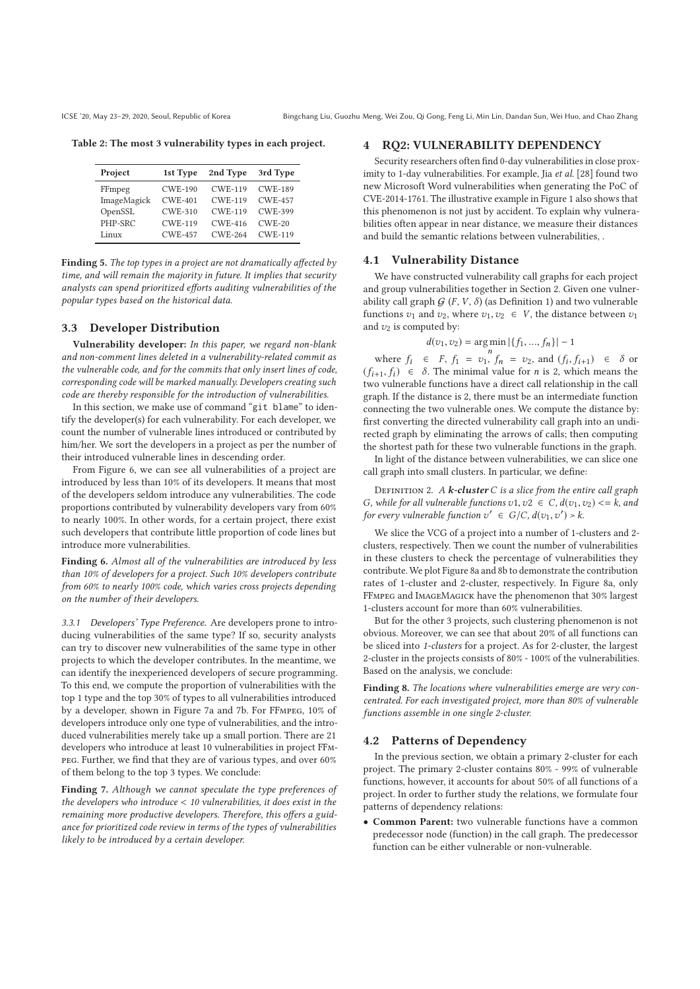**Table 2: The most 3 vulnerability types in each project.**

| Project     | 1st Type       | 2nd Type       | 3rd Type       |
|-------------|----------------|----------------|----------------|
| FFmpeg      | <b>CWE-190</b> | <b>CWE-119</b> | <b>CWE-189</b> |
| ImageMagick | $CWF-401$      | <b>CWE-119</b> | <b>CWE-457</b> |
| OpenSSL     | <b>CWE-310</b> | <b>CWE-119</b> | <b>CWE-399</b> |
| PHP-SRC     | <b>CWE-119</b> | CWE-416        | $CWE-20$       |
| Linux       | <b>CWE-457</b> | <b>CWE-264</b> | <b>CWE-119</b> |

**Finding 5.** *The top types in a project are not dramatically affected by time, and will remain the majority in future. It implies that security analysts can spend prioritized efforts auditing vulnerabilities of the popular types based on the historical data.*

# **3.3 Developer Distribution**

**Vulnerability developer:** *In this paper, we regard non-blank and non-comment lines deleted in a vulnerability-related commit as the vulnerable code, and for the commits that only insert lines of code, corresponding code will be marked manually. Developers creating such code are thereby responsible for the introduction of vulnerabilities.*

In this section, we make use of command "git blame" to identify the developer(s) for each vulnerability. For each developer, we count the number of vulnerable lines introduced or contributed by him/her. We sort the developers in a project as per the number of their introduced vulnerable lines in descending order.

From Figure 6, we can see all vulnerabilities of a project are introduced by less than 10% of its developers. It means that most of the developers seldom introduce any vulnerabilities. The code proportions contributed by vulnerability developers vary from 60% to nearly 100%. In other words, for a certain project, there exist such developers that contribute little proportion of code lines but introduce more vulnerabilities.

**Finding 6.** *Almost all of the vulnerabilities are introduced by less than 10% of developers for a project. Such 10% developers contribute from 60% to nearly 100% code, which varies cross projects depending on the number of their developers.*

*3.3.1 Developers' Type Preference.* Are developers prone to introducing vulnerabilities of the same type? If so, security analysts can try to discover new vulnerabilities of the same type in other projects to which the developer contributes. In the meantime, we can identify the inexperienced developers of secure programming. To this end, we compute the proportion of vulnerabilities with the top 1 type and the top 30% of types to all vulnerabilities introduced by a developer, shown in Figure 7a and 7b. For FFmpeg, 10% of developers introduce only one type of vulnerabilities, and the introduced vulnerabilities merely take up a small portion. There are 21 developers who introduce at least 10 vulnerabilities in project FFmpeg. Further, we find that they are of various types, and over 60% of them belong to the top 3 types. We conclude:

**Finding 7.** *Although we cannot speculate the type preferences of the developers who introduce* < *10 vulnerabilities, it does exist in the remaining more productive developers. Therefore, this offers a guidance for prioritized code review in terms of the types of vulnerabilities likely to be introduced by a certain developer.*

## **4 RQ2: VULNERABILITY DEPENDENCY**

Security researchers often find 0-day vulnerabilities in close proximity to 1-day vulnerabilities. For example, Jia *et al.* [28] found two new Microsoft Word vulnerabilities when generating the PoC of CVE-2014-1761. The illustrative example in Figure 1 also shows that this phenomenon is not just by accident. To explain why vulnerabilities often appear in near distance, we measure their distances and build the semantic relations between vulnerabilities, .

#### **4.1 Vulnerability Distance**

We have constructed vulnerability call graphs for each project and group vulnerabilities together in Section 2. Given one vulnerability call graph  $G$  (F, V,  $\delta$ ) (as Definition 1) and two vulnerable functions  $v_1$  and  $v_2$ , where  $v_1, v_2 \in V$ , the distance between  $v_1$ and  $v_2$  is computed by:

$$
d(v_1, v_2) = \underset{n}{\arg\min} |\{f_1, ..., f_n\}| - 1
$$

where  $f_i \in F$ ,  $f_1 = v_1$ ,  $f_n = v_2$ , and  $(f_i, f_{i+1}) \in \delta$  or  $(f_{i+1}, f_i) \in \delta$ . The minimal value for *n* is 2, which means the two vulnerable functions have a direct call relationship in the call graph. If the distance is 2, there must be an intermediate function connecting the two vulnerable ones. We compute the distance by: first converting the directed vulnerability call graph into an undirected graph by eliminating the arrows of calls; then computing the shortest path for these two vulnerable functions in the graph.

In light of the distance between vulnerabilities, we can slice one call graph into small clusters. In particular, we define:

Definition 2. *A k-cluster* C *is a slice from the entire call graph* G, while for all vulnerable functions  $v1, v2 \in C$ ,  $d(v_1, v_2) \le k$ , and *for every vulnerable function*  $v' \in G/C$ ,  $d(v_1, v') > k$ .

We slice the VCG of a project into a number of 1-clusters and 2 clusters, respectively. Then we count the number of vulnerabilities in these clusters to check the percentage of vulnerabilities they contribute. We plot Figure 8a and 8b to demonstrate the contribution rates of 1-cluster and 2-cluster, respectively. In Figure 8a, only FFmpeg and ImageMagick have the phenomenon that 30% largest 1-clusters account for more than 60% vulnerabilities.

But for the other 3 projects, such clustering phenomenon is not obvious. Moreover, we can see that about 20% of all functions can be sliced into *1-clusters* for a project. As for 2-cluster, the largest 2-cluster in the projects consists of 80% - 100% of the vulnerabilities. Based on the analysis, we conclude:

**Finding 8.** *The locations where vulnerabilities emerge are very concentrated. For each investigated project, more than 80% of vulnerable functions assemble in one single 2-cluster.*

## **4.2 Patterns of Dependency**

In the previous section, we obtain a primary 2-cluster for each project. The primary 2-cluster contains 80% - 99% of vulnerable functions, however, it accounts for about 50% of all functions of a project. In order to further study the relations, we formulate four patterns of dependency relations:

• **Common Parent:** two vulnerable functions have a common predecessor node (function) in the call graph. The predecessor function can be either vulnerable or non-vulnerable.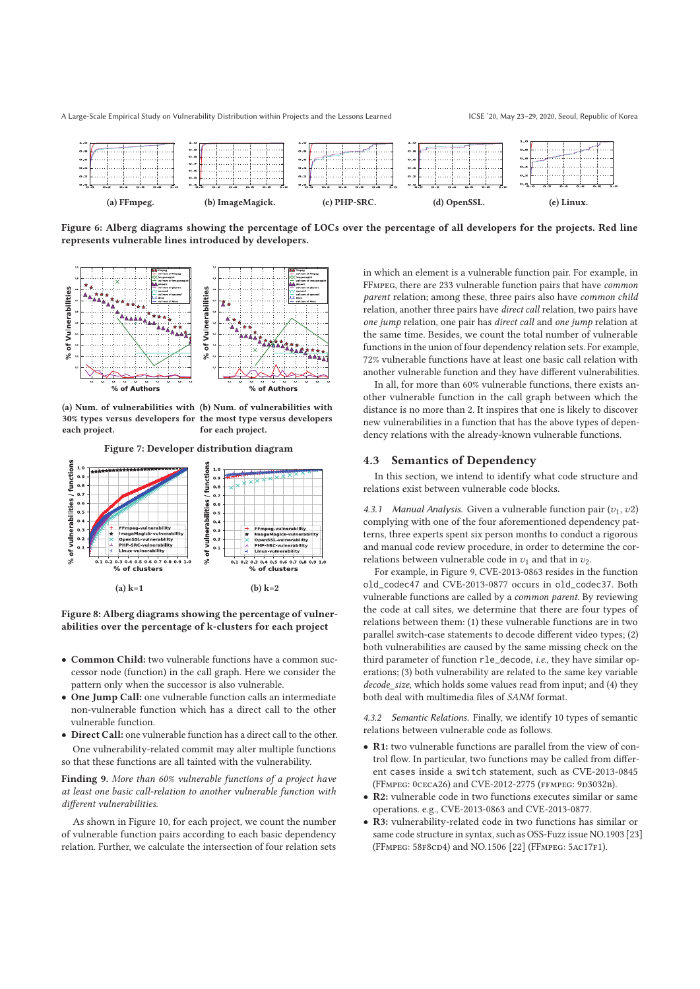

**Figure 6: Alberg diagrams showing the percentage of LOCs over the percentage of all developers for the projects. Red line represents vulnerable lines introduced by developers.**



**(a) Num. of vulnerabilities with (b) Num. of vulnerabilities with 30% types versus developers for the most type versus developers each project. for each project.**



**Figure 8: Alberg diagrams showing the percentage of vulnerabilities over the percentage of k-clusters for each project**

- **Common Child:** two vulnerable functions have a common successor node (function) in the call graph. Here we consider the pattern only when the successor is also vulnerable.
- **One Jump Call:** one vulnerable function calls an intermediate non-vulnerable function which has a direct call to the other vulnerable function.
- **Direct Call:** one vulnerable function has a direct call to the other. One vulnerability-related commit may alter multiple functions so that these functions are all tainted with the vulnerability.

**Finding 9.** *More than 60% vulnerable functions of a project have at least one basic call-relation to another vulnerable function with different vulnerabilities.*

As shown in Figure 10, for each project, we count the number of vulnerable function pairs according to each basic dependency relation. Further, we calculate the intersection of four relation sets

in which an element is a vulnerable function pair. For example, in FFmpeg, there are 233 vulnerable function pairs that have *common parent* relation; among these, three pairs also have *common child* relation, another three pairs have *direct call* relation, two pairs have *one jump* relation, one pair has *direct call* and *one jump* relation at the same time. Besides, we count the total number of vulnerable functions in the union of four dependency relation sets. For example, 72% vulnerable functions have at least one basic call relation with another vulnerable function and they have different vulnerabilities.

In all, for more than 60% vulnerable functions, there exists another vulnerable function in the call graph between which the distance is no more than 2. It inspires that one is likely to discover new vulnerabilities in a function that has the above types of dependency relations with the already-known vulnerable functions.

#### **4.3 Semantics of Dependency**

In this section, we intend to identify what code structure and relations exist between vulnerable code blocks.

4.3.1 Manual Analysis. Given a vulnerable function pair  $(v_1, v_2)$ complying with one of the four aforementioned dependency patterns, three experts spent six person months to conduct a rigorous and manual code review procedure, in order to determine the correlations between vulnerable code in  $v_1$  and that in  $v_2$ .

For example, in Figure 9, CVE-2013-0863 resides in the function old\_codec47 and CVE-2013-0877 occurs in old\_codec37. Both vulnerable functions are called by a *common parent*. By reviewing the code at call sites, we determine that there are four types of relations between them: (1) these vulnerable functions are in two parallel switch-case statements to decode different video types; (2) both vulnerabilities are caused by the same missing check on the third parameter of function rle\_decode, *i.e.*, they have similar operations; (3) both vulnerability are related to the same key variable *decode\_size*, which holds some values read from input; and (4) they both deal with multimedia files of *SANM* format.

*4.3.2 Semantic Relations.* Finally, we identify 10 types of semantic relations between vulnerable code as follows.

- **R1:** two vulnerable functions are parallel from the view of control flow. In particular, two functions may be called from different cases inside a switch statement, such as CVE-2013-0845 (FFMPEG: 0CECA26) and CVE-2012-2775 (FFMPEG: 9D3032B).
- **R2:** vulnerable code in two functions executes similar or same operations. e.g., CVE-2013-0863 and CVE-2013-0877.
- **R3:** vulnerability-related code in two functions has similar or same code structure in syntax, such as OSS-Fuzz issue NO.1903 [23] (FFmpeg: 58f8cd4) and NO.1506 [22] (FFmpeg: 5ac17f1).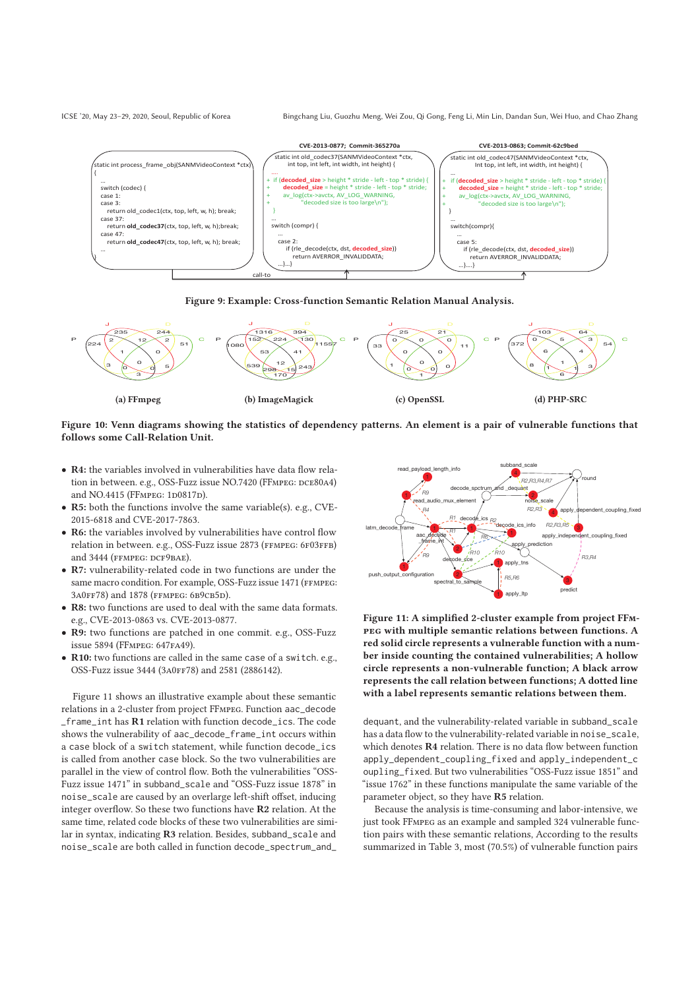ICSE '20, May 23–29, 2020, Seoul, Republic of Korea Bingchang Liu, Guozhu Meng, Wei Zou, Qi Gong, Feng Li, Min Lin, Dandan Sun, Wei Huo, and Chao Zhang



## **Figure 9: Example: Cross-function Semantic Relation Manual Analysis.**



#### **Figure 10: Venn diagrams showing the statistics of dependency patterns. An element is a pair of vulnerable functions that follows some Call-Relation Unit.**

- **R4:** the variables involved in vulnerabilities have data flow relation in between. e.g., OSS-Fuzz issue NO.7420 (FFMPEG: DCE80A4) and NO.4415 (FFMPEG: 1D0817D).
- **R5:** both the functions involve the same variable(s). e.g., CVE-2015-6818 and CVE-2017-7863.
- **R6:** the variables involved by vulnerabilities have control flow relation in between. e.g., OSS-Fuzz issue 2873 (FFMPEG: 6F03FFB) and 3444 (FFMPEG: DCF9BAE).
- **R7:** vulnerability-related code in two functions are under the same macro condition. For example, OSS-Fuzz issue 1471 (FFMPEG: 3A0FF78) and 1878 (FFMPEG: 6B9CB5D).
- **R8:** two functions are used to deal with the same data formats. e.g., CVE-2013-0863 vs. CVE-2013-0877.
- **R9:** two functions are patched in one commit. e.g., OSS-Fuzz issue 5894 (FFMPEG: 647FA49).
- **R10:** two functions are called in the same case of a switch. e.g., OSS-Fuzz issue 3444 (3A0FF78) and 2581 (2886142).

Figure 11 shows an illustrative example about these semantic relations in a 2-cluster from project FFmpeg. Function aac\_decode \_frame\_int has **R1** relation with function decode\_ics. The code shows the vulnerability of aac\_decode\_frame\_int occurs within a case block of a switch statement, while function decode ics is called from another case block. So the two vulnerabilities are parallel in the view of control flow. Both the vulnerabilities "OSS-Fuzz issue 1471" in subband\_scale and "OSS-Fuzz issue 1878" in noise\_scale are caused by an overlarge left-shift offset, inducing integer overflow. So these two functions have **R2** relation. At the same time, related code blocks of these two vulnerabilities are similar in syntax, indicating **R3** relation. Besides, subband\_scale and noise\_scale are both called in function decode\_spectrum\_and\_



**Figure 11: A simplified 2-cluster example from project FFmpeg with multiple semantic relations between functions. A red solid circle represents a vulnerable function with a number inside counting the contained vulnerabilities; A hollow circle represents a non-vulnerable function; A black arrow represents the call relation between functions; A dotted line with a label represents semantic relations between them.**

dequant, and the vulnerability-related variable in subband\_scale has a data flow to the vulnerability-related variable in noise\_scale, which denotes **R4** relation. There is no data flow between function apply\_dependent\_coupling\_fixed and apply\_independent\_c oupling\_fixed. But two vulnerabilities "OSS-Fuzz issue 1851" and "issue 1762" in these functions manipulate the same variable of the parameter object, so they have **R5** relation.

Because the analysis is time-consuming and labor-intensive, we just took FFmpeg as an example and sampled 324 vulnerable function pairs with these semantic relations, According to the results summarized in Table 3, most (70.5%) of vulnerable function pairs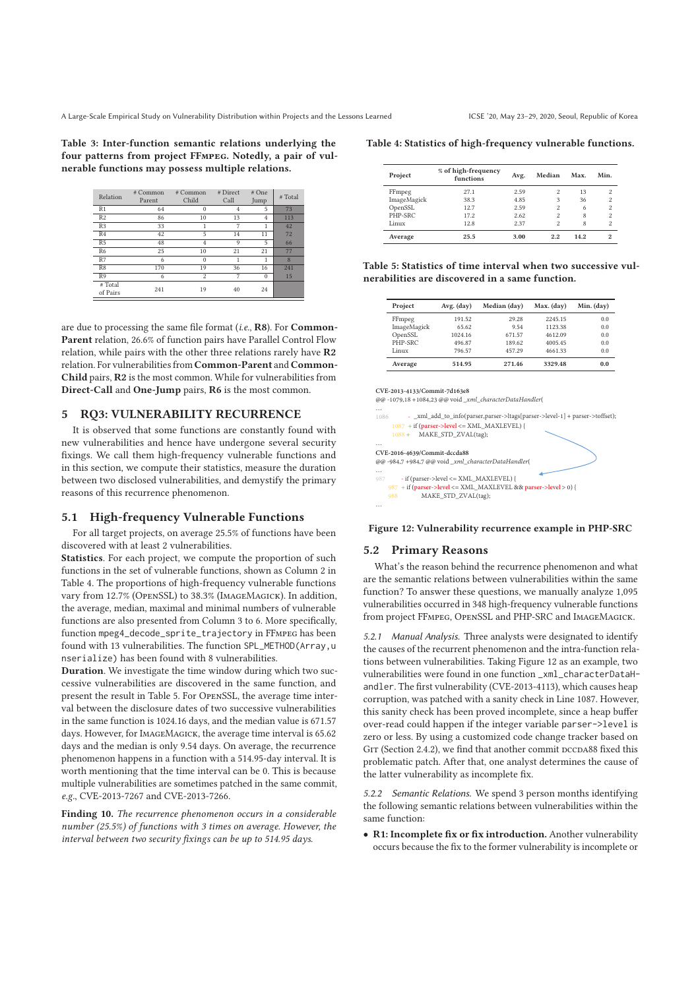**Table 3: Inter-function semantic relations underlying the four patterns from project FFmpeg. Notedly, a pair of vulnerable functions may possess multiple relations.**

| Relation            | # Common<br>Parent | # Common<br>Child | # Direct<br>Call | # One<br>Jump  | # Total |
|---------------------|--------------------|-------------------|------------------|----------------|---------|
| R <sub>1</sub>      | 64                 | $\theta$          | 4                | 5              | 73      |
| R <sub>2</sub>      | 86                 | 10                | 13               | $\overline{4}$ | 113     |
| R <sub>3</sub>      | 33                 | 1                 | 7                | 1              | 42      |
| R <sub>4</sub>      | 42                 | 5                 | 14               | 11             | 72      |
| R <sub>5</sub>      | 48                 | 4                 | 9                | 5              | 66      |
| R <sub>6</sub>      | 25                 | 10                | 21               | 21             | 77      |
| R7                  | 6                  | $\theta$          |                  | 1              | 8       |
| R8                  | 170                | 19                | 36               | 16             | 241     |
| R9                  | 6                  | $\mathfrak{D}$    | 7                | $\Omega$       | 15      |
| # Total<br>of Pairs | 241                | 19                | 40               | 24             |         |

are due to processing the same file format (*i.e.*, **R8**). For **Common-Parent** relation, 26.6% of function pairs have Parallel Control Flow relation, while pairs with the other three relations rarely have **R2** relation. For vulnerabilities from **Common-Parent** and **Common-Child** pairs, **R2** is the most common. While for vulnerabilities from **Direct-Call** and **One-Jump** pairs, **R6** is the most common.

#### **5 RQ3: VULNERABILITY RECURRENCE**

It is observed that some functions are constantly found with new vulnerabilities and hence have undergone several security fixings. We call them high-frequency vulnerable functions and in this section, we compute their statistics, measure the duration between two disclosed vulnerabilities, and demystify the primary reasons of this recurrence phenomenon.

#### **5.1 High-frequency Vulnerable Functions**

For all target projects, on average 25.5% of functions have been discovered with at least 2 vulnerabilities.

**Statistics**. For each project, we compute the proportion of such functions in the set of vulnerable functions, shown as Column 2 in Table 4. The proportions of high-frequency vulnerable functions vary from 12.7% (OpenSSL) to 38.3% (ImageMagick). In addition, the average, median, maximal and minimal numbers of vulnerable functions are also presented from Column 3 to 6. More specifically, function mpeg4\_decode\_sprite\_trajectory in FFmpeg has been found with 13 vulnerabilities. The function SPL\_METHOD(Array,u nserialize) has been found with 8 vulnerabilities.

**Duration**. We investigate the time window during which two successive vulnerabilities are discovered in the same function, and present the result in Table 5. For OpenSSL, the average time interval between the disclosure dates of two successive vulnerabilities in the same function is 1024.16 days, and the median value is 671.57 days. However, for ImageMagick, the average time interval is 65.62 days and the median is only 9.54 days. On average, the recurrence phenomenon happens in a function with a 514.95-day interval. It is worth mentioning that the time interval can be 0. This is because multiple vulnerabilities are sometimes patched in the same commit, *e.g.*, CVE-2013-7267 and CVE-2013-7266.

**Finding 10.** *The recurrence phenomenon occurs in a considerable number (25.5%) of functions with 3 times on average. However, the interval between two security fixings can be up to 514.95 days.*

#### **Table 4: Statistics of high-frequency vulnerable functions.**

| Project     | % of high-frequency<br>functions | Avg. | Median                   | Max. | Min.                    |
|-------------|----------------------------------|------|--------------------------|------|-------------------------|
| FFmpeg      | 27.1                             | 2.59 | $\overline{\mathcal{L}}$ | 13   | 2                       |
| ImageMagick | 38.3                             | 4.85 | 3                        | 36   | $\overline{\mathbf{c}}$ |
| OpenSSL     | 12.7                             | 2.59 | $\overline{\mathcal{L}}$ | 6    | $\overline{\mathbf{c}}$ |
| PHP-SRC     | 17.2                             | 2.62 | $\overline{\mathcal{L}}$ | 8    | $\overline{\mathbf{c}}$ |
| Linux       | 12.8                             | 2.37 | $\overline{\mathcal{L}}$ | 8    | $\overline{\mathbf{c}}$ |
| Average     | 25.5                             | 3.00 | 2.2                      | 14.2 | $\mathfrak{D}$          |

**Table 5: Statistics of time interval when two successive vulnerabilities are discovered in a same function.**

| Project     | Avg. (day) | Median (day) | Max. (day) | Min. (day) |
|-------------|------------|--------------|------------|------------|
| FFmpeg      | 191.52     | 29.28        | 2245.15    | 0.0        |
| ImageMagick | 65.62      | 9.54         | 1123.38    | 0.0        |
| OpenSSL     | 1024.16    | 671.57       | 4612.09    | 0.0        |
| PHP-SRC     | 496.87     | 189.62       | 4005.45    | 0.0        |
| Linux       | 796.57     | 457.29       | 4661.33    | 0.0        |
| Average     | 514.95     | 271.46       | 3329.48    | 0.0        |

**CVE-2013-4133/Commit-7d163e8** Φ@ -1079,18 +1084,23 @@ void xml characterDataHandler ... and<br>1086 **3** a xml add to info(parser.parser->ltags[parser->level-1] + parser->toffset): <u>1087</u> + if (parser->level <= XML\_MAXLEVEL) { 1088 + MAKE\_STD\_ZVAL(tag); Ε CVF-2016-4639/Commit-dccda88 **@@** -984,7 +984,7 @@ void\_xml\_characterDataHandler( Ε ӛӚә άХТΤЬНЮЯСЮάӹШСвСШӶӲύςρӀςζύρκϋκρΥΦ **987** + if (parser->level <= XML\_MAXLEVEL && parser->level > 0) { 988 MAKE\_STD\_ZVAL(tag); ...

#### **Figure 12: Vulnerability recurrence example in PHP-SRC**

## **5.2 Primary Reasons**

What's the reason behind the recurrence phenomenon and what are the semantic relations between vulnerabilities within the same function? To answer these questions, we manually analyze 1,095 vulnerabilities occurred in 348 high-frequency vulnerable functions from project FFmpeg, OpenSSL and PHP-SRC and ImageMagick.

*5.2.1 Manual Analysis.* Three analysts were designated to identify the causes of the recurrent phenomenon and the intra-function relations between vulnerabilities. Taking Figure 12 as an example, two vulnerabilities were found in one function \_xml\_characterDataHandler. The first vulnerability (CVE-2013-4113), which causes heap corruption, was patched with a sanity check in Line 1087. However, this sanity check has been proved incomplete, since a heap buffer over-read could happen if the integer variable parser->level is zero or less. By using a customized code change tracker based on GIT (Section 2.4.2), we find that another commit DCCDA88 fixed this problematic patch. After that, one analyst determines the cause of the latter vulnerability as incomplete fix.

*5.2.2 Semantic Relations.* We spend 3 person months identifying the following semantic relations between vulnerabilities within the same function:

• **R1: Incomplete fix or fix introduction.** Another vulnerability occurs because the fix to the former vulnerability is incomplete or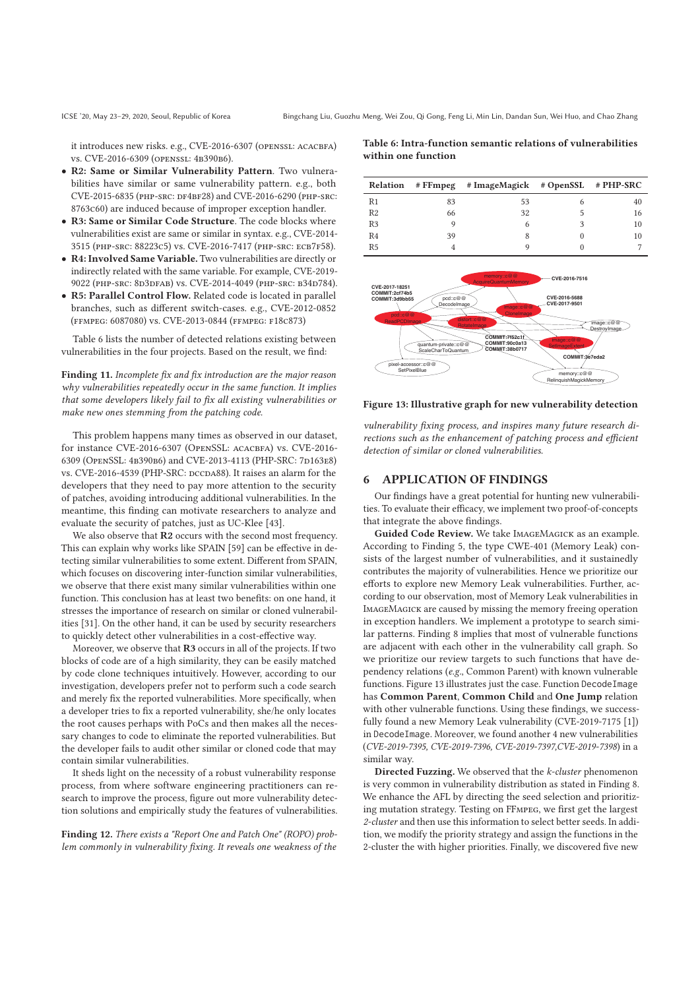it introduces new risks. e.g., CVE-2016-6307 (OPENSSL: ACACBFA) vs. CVE-2016-6309 (openssl: 4b390b6).

- **R2: Same or Similar Vulnerability Pattern**. Two vulnerabilities have similar or same vulnerability pattern. e.g., both CVE-2015-6835 (php-src: df4bf28) and CVE-2016-6290 (php-src: 8763c60) are induced because of improper exception handler.
- **R3: Same or Similar Code Structure**. The code blocks where vulnerabilities exist are same or similar in syntax. e.g., CVE-2014- 3515 (php-src: 88223c5) vs. CVE-2016-7417 (php-src: ecb7f58).
- **R4: Involved Same Variable.** Two vulnerabilities are directly or indirectly related with the same variable. For example, CVE-2019- 9022 (PHP-SRC: 8D3DFAB) vs. CVE-2014-4049 (PHP-SRC: B34D784).
- **R5: Parallel Control Flow.** Related code is located in parallel branches, such as different switch-cases. e.g., CVE-2012-0852 (ffmpeg: 6087080) vs. CVE-2013-0844 (ffmpeg: f18c873)

Table 6 lists the number of detected relations existing between vulnerabilities in the four projects. Based on the result, we find:

**Finding 11.** *Incomplete fix and fix introduction are the major reason why vulnerabilities repeatedly occur in the same function. It implies that some developers likely fail to fix all existing vulnerabilities or make new ones stemming from the patching code.*

This problem happens many times as observed in our dataset, for instance CVE-2016-6307 (OPENSSL: ACACBFA) vs. CVE-2016-6309 (OPENSSL: 4B390B6) and CVE-2013-4113 (PHP-SRC: 7D163E8) vs. CVE-2016-4539 (PHP-SRC: dccda88). It raises an alarm for the developers that they need to pay more attention to the security of patches, avoiding introducing additional vulnerabilities. In the meantime, this finding can motivate researchers to analyze and evaluate the security of patches, just as UC-Klee [43].

We also observe that **R2** occurs with the second most frequency. This can explain why works like SPAIN [59] can be effective in detecting similar vulnerabilities to some extent. Different from SPAIN, which focuses on discovering inter-function similar vulnerabilities, we observe that there exist many similar vulnerabilities within one function. This conclusion has at least two benefits: on one hand, it stresses the importance of research on similar or cloned vulnerabilities [31]. On the other hand, it can be used by security researchers to quickly detect other vulnerabilities in a cost-effective way.

Moreover, we observe that **R3** occurs in all of the projects. If two blocks of code are of a high similarity, they can be easily matched by code clone techniques intuitively. However, according to our investigation, developers prefer not to perform such a code search and merely fix the reported vulnerabilities. More specifically, when a developer tries to fix a reported vulnerability, she/he only locates the root causes perhaps with PoCs and then makes all the necessary changes to code to eliminate the reported vulnerabilities. But the developer fails to audit other similar or cloned code that may contain similar vulnerabilities.

It sheds light on the necessity of a robust vulnerability response process, from where software engineering practitioners can research to improve the process, figure out more vulnerability detection solutions and empirically study the features of vulnerabilities.

**Finding 12.** *There exists a "Report One and Patch One" (ROPO) problem commonly in vulnerability fixing. It reveals one weakness of the*

**Table 6: Intra-function semantic relations of vulnerabilities within one function**

|                |    | Relation # FFmpeg # ImageMagick # OpenSSL # PHP-SRC |    |
|----------------|----|-----------------------------------------------------|----|
| R1             | 83 | 53                                                  | 40 |
| R <sub>2</sub> | 66 | 32                                                  | 16 |
| R <sub>3</sub> |    | 6                                                   | 10 |
| R <sub>4</sub> | 39 |                                                     | 10 |
| R <sub>5</sub> |    |                                                     |    |



**Figure 13: Illustrative graph for new vulnerability detection**

*vulnerability fixing process, and inspires many future research directions such as the enhancement of patching process and efficient detection of similar or cloned vulnerabilities.*

#### **6 APPLICATION OF FINDINGS**

Our findings have a great potential for hunting new vulnerabilities. To evaluate their efficacy, we implement two proof-of-concepts that integrate the above findings.

**Guided Code Review.** We take ImageMagick as an example. According to Finding 5, the type CWE-401 (Memory Leak) consists of the largest number of vulnerabilities, and it sustainedly contributes the majority of vulnerabilities. Hence we prioritize our efforts to explore new Memory Leak vulnerabilities. Further, according to our observation, most of Memory Leak vulnerabilities in ImageMagick are caused by missing the memory freeing operation in exception handlers. We implement a prototype to search similar patterns. Finding 8 implies that most of vulnerable functions are adjacent with each other in the vulnerability call graph. So we prioritize our review targets to such functions that have dependency relations (*e.g.*, Common Parent) with known vulnerable functions. Figure 13 illustrates just the case. Function DecodeImage has **Common Parent**, **Common Child** and **One Jump** relation with other vulnerable functions. Using these findings, we successfully found a new Memory Leak vulnerability (CVE-2019-7175 [1]) in DecodeImage. Moreover, we found another 4 new vulnerabilities (*CVE-2019-7395, CVE-2019-7396, CVE-2019-7397,CVE-2019-7398*) in a similar way.

**Directed Fuzzing.** We observed that the *k-cluster* phenomenon is very common in vulnerability distribution as stated in Finding 8. We enhance the AFL by directing the seed selection and prioritizing mutation strategy. Testing on FFmpeg, we first get the largest *2-cluster* and then use this information to select better seeds. In addition, we modify the priority strategy and assign the functions in the 2-cluster the with higher priorities. Finally, we discovered five new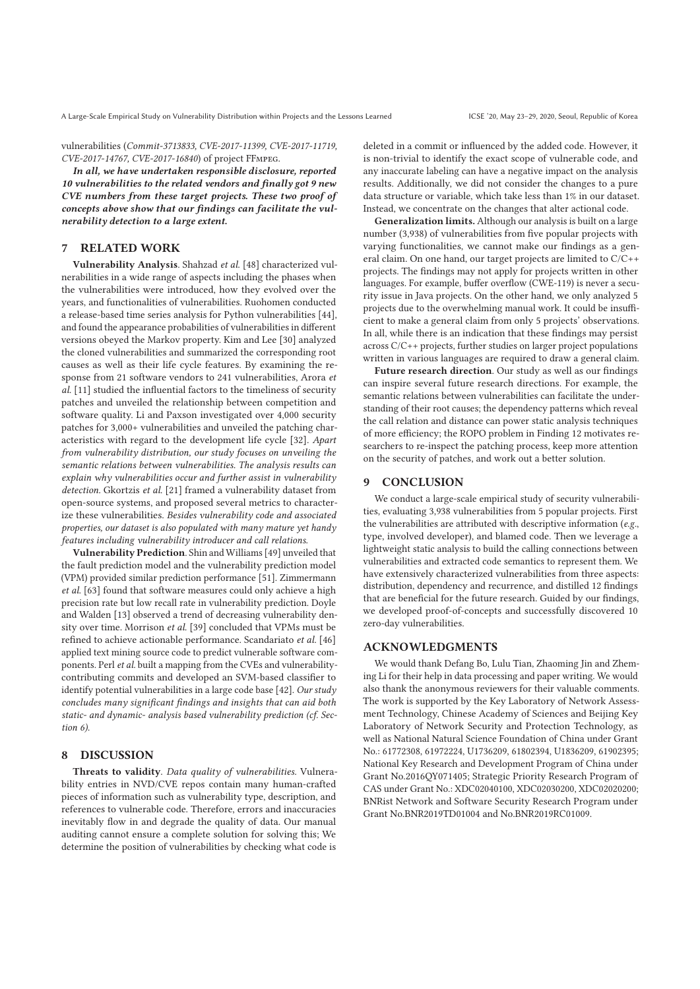vulnerabilities (*Commit-3713833, CVE-2017-11399, CVE-2017-11719, CVE-2017-14767, CVE-2017-16840*) of project FFmpeg.

*In all, we have undertaken responsible disclosure, reported 10 vulnerabilities to the related vendors and finally got 9 new CVE numbers from these target projects. These two proof of concepts above show that our findings can facilitate the vulnerability detection to a large extent.*

# **7 RELATED WORK**

**Vulnerability Analysis**. Shahzad *et al.* [48] characterized vulnerabilities in a wide range of aspects including the phases when the vulnerabilities were introduced, how they evolved over the years, and functionalities of vulnerabilities. Ruohomen conducted a release-based time series analysis for Python vulnerabilities [44], and found the appearance probabilities of vulnerabilities in different versions obeyed the Markov property. Kim and Lee [30] analyzed the cloned vulnerabilities and summarized the corresponding root causes as well as their life cycle features. By examining the response from 21 software vendors to 241 vulnerabilities, Arora *et al.* [11] studied the influential factors to the timeliness of security patches and unveiled the relationship between competition and software quality. Li and Paxson investigated over 4,000 security patches for 3,000+ vulnerabilities and unveiled the patching characteristics with regard to the development life cycle [32]. *Apart from vulnerability distribution, our study focuses on unveiling the semantic relations between vulnerabilities. The analysis results can explain why vulnerabilities occur and further assist in vulnerability detection.* Gkortzis *et al.* [21] framed a vulnerability dataset from open-source systems, and proposed several metrics to characterize these vulnerabilities. *Besides vulnerability code and associated properties, our dataset is also populated with many mature yet handy features including vulnerability introducer and call relations*.

**Vulnerability Prediction**. Shin and Williams [49] unveiled that the fault prediction model and the vulnerability prediction model (VPM) provided similar prediction performance [51]. Zimmermann *et al.* [63] found that software measures could only achieve a high precision rate but low recall rate in vulnerability prediction. Doyle and Walden [13] observed a trend of decreasing vulnerability density over time. Morrison *et al.* [39] concluded that VPMs must be refined to achieve actionable performance. Scandariato *et al.* [46] applied text mining source code to predict vulnerable software components. Perl *et al.* built a mapping from the CVEs and vulnerabilitycontributing commits and developed an SVM-based classifier to identify potential vulnerabilities in a large code base [42]. *Our study concludes many significant findings and insights that can aid both static- and dynamic- analysis based vulnerability prediction (cf. Section 6).*

## **8 DISCUSSION**

**Threats to validity**. *Data quality of vulnerabilities.* Vulnerability entries in NVD/CVE repos contain many human-crafted pieces of information such as vulnerability type, description, and references to vulnerable code. Therefore, errors and inaccuracies inevitably flow in and degrade the quality of data. Our manual auditing cannot ensure a complete solution for solving this; We determine the position of vulnerabilities by checking what code is

deleted in a commit or influenced by the added code. However, it is non-trivial to identify the exact scope of vulnerable code, and any inaccurate labeling can have a negative impact on the analysis results. Additionally, we did not consider the changes to a pure data structure or variable, which take less than 1% in our dataset. Instead, we concentrate on the changes that alter actional code.

**Generalization limits.** Although our analysis is built on a large number (3,938) of vulnerabilities from five popular projects with varying functionalities, we cannot make our findings as a general claim. On one hand, our target projects are limited to C/C++ projects. The findings may not apply for projects written in other languages. For example, buffer overflow (CWE-119) is never a security issue in Java projects. On the other hand, we only analyzed 5 projects due to the overwhelming manual work. It could be insufficient to make a general claim from only 5 projects' observations. In all, while there is an indication that these findings may persist across C/C++ projects, further studies on larger project populations written in various languages are required to draw a general claim.

**Future research direction**. Our study as well as our findings can inspire several future research directions. For example, the semantic relations between vulnerabilities can facilitate the understanding of their root causes; the dependency patterns which reveal the call relation and distance can power static analysis techniques of more efficiency; the ROPO problem in Finding 12 motivates researchers to re-inspect the patching process, keep more attention on the security of patches, and work out a better solution.

## **9 CONCLUSION**

We conduct a large-scale empirical study of security vulnerabilities, evaluating 3,938 vulnerabilities from 5 popular projects. First the vulnerabilities are attributed with descriptive information (*e.g.*, type, involved developer), and blamed code. Then we leverage a lightweight static analysis to build the calling connections between vulnerabilities and extracted code semantics to represent them. We have extensively characterized vulnerabilities from three aspects: distribution, dependency and recurrence, and distilled 12 findings that are beneficial for the future research. Guided by our findings, we developed proof-of-concepts and successfully discovered 10 zero-day vulnerabilities.

## **ACKNOWLEDGMENTS**

We would thank Defang Bo, Lulu Tian, Zhaoming Jin and Zheming Li for their help in data processing and paper writing. We would also thank the anonymous reviewers for their valuable comments. The work is supported by the Key Laboratory of Network Assessment Technology, Chinese Academy of Sciences and Beijing Key Laboratory of Network Security and Protection Technology, as well as National Natural Science Foundation of China under Grant No.: 61772308, 61972224, U1736209, 61802394, U1836209, 61902395; National Key Research and Development Program of China under Grant No.2016QY071405; Strategic Priority Research Program of CAS under Grant No.: XDC02040100, XDC02030200, XDC02020200; BNRist Network and Software Security Research Program under Grant No.BNR2019TD01004 and No.BNR2019RC01009.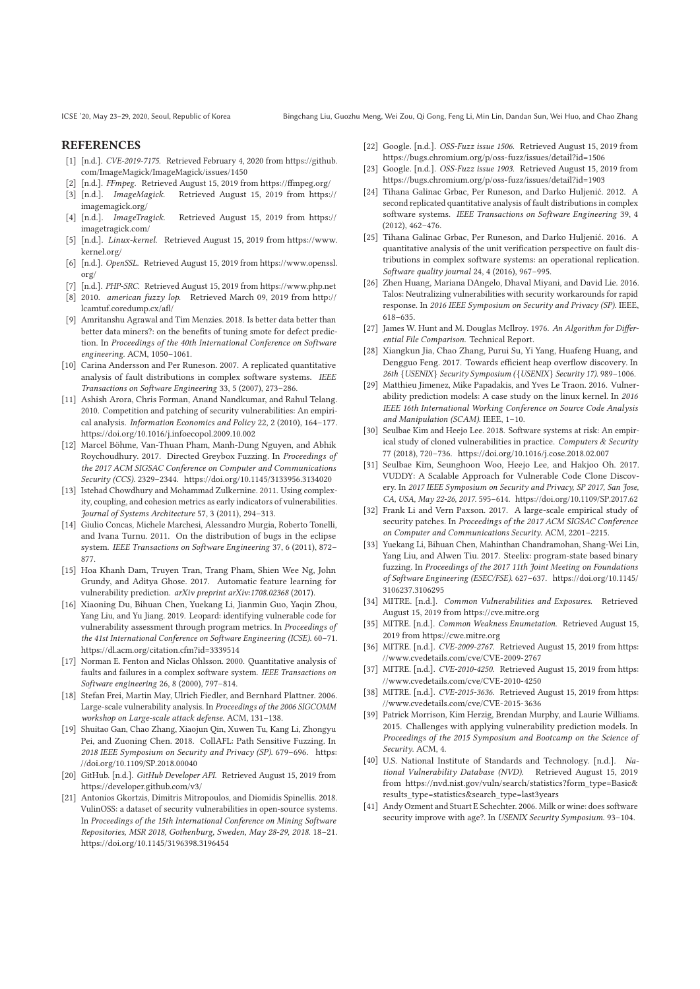## **REFERENCES**

- [1] [n.d.]. *CVE-2019-7175.* Retrieved February 4, 2020 from https://github. com/ImageMagick/ImageMagick/issues/1450
- [n.d.]. *FFmpeg.* Retrieved August 15, 2019 from https://ffmpeg.org/
- [3] [n.d.]. *ImageMagick.* Retrieved August 15, 2019 from https:// imagemagick.org/
- [4] [n.d.]. *ImageTragick.* Retrieved August 15, 2019 from https:// imagetragick.com/
- [5] [n.d.]. *Linux-kernel.* Retrieved August 15, 2019 from https://www. kernel.org/
- [6] [n.d.]. *OpenSSL.* Retrieved August 15, 2019 from https://www.openssl. org/
- [7] [n.d.]. *PHP-SRC.* Retrieved August 15, 2019 from https://www.php.net [8] 2010. *american fuzzy lop*. Retrieved March 09, 2019 from http://
- lcamtuf.coredump.cx/afl/ [9] Amritanshu Agrawal and Tim Menzies. 2018. Is better data better than
- better data miners?: on the benefits of tuning smote for defect prediction. In *Proceedings of the 40th International Conference on Software engineering*. ACM, 1050–1061.
- [10] Carina Andersson and Per Runeson. 2007. A replicated quantitative analysis of fault distributions in complex software systems. *IEEE Transactions on Software Engineering* 33, 5 (2007), 273–286.
- [11] Ashish Arora, Chris Forman, Anand Nandkumar, and Rahul Telang. 2010. Competition and patching of security vulnerabilities: An empirical analysis. *Information Economics and Policy* 22, 2 (2010), 164–177. https://doi.org/10.1016/j.infoecopol.2009.10.002
- [12] Marcel Böhme, Van-Thuan Pham, Manh-Dung Nguyen, and Abhik Roychoudhury. 2017. Directed Greybox Fuzzing. In *Proceedings of the 2017 ACM SIGSAC Conference on Computer and Communications Security (CCS)*. 2329–2344. https://doi.org/10.1145/3133956.3134020
- [13] Istehad Chowdhury and Mohammad Zulkernine. 2011. Using complexity, coupling, and cohesion metrics as early indicators of vulnerabilities. *Journal of Systems Architecture* 57, 3 (2011), 294–313.
- [14] Giulio Concas, Michele Marchesi, Alessandro Murgia, Roberto Tonelli, and Ivana Turnu. 2011. On the distribution of bugs in the eclipse system. *IEEE Transactions on Software Engineering* 37, 6 (2011), 872– 877.
- [15] Hoa Khanh Dam, Truyen Tran, Trang Pham, Shien Wee Ng, John Grundy, and Aditya Ghose. 2017. Automatic feature learning for vulnerability prediction. *arXiv preprint arXiv:1708.02368* (2017).
- [16] Xiaoning Du, Bihuan Chen, Yuekang Li, Jianmin Guo, Yaqin Zhou, Yang Liu, and Yu Jiang. 2019. Leopard: identifying vulnerable code for vulnerability assessment through program metrics. In *Proceedings of the 41st International Conference on Software Engineering (ICSE)*. 60–71. https://dl.acm.org/citation.cfm?id=3339514
- [17] Norman E. Fenton and Niclas Ohlsson. 2000. Quantitative analysis of faults and failures in a complex software system. *IEEE Transactions on Software engineering* 26, 8 (2000), 797–814.
- [18] Stefan Frei, Martin May, Ulrich Fiedler, and Bernhard Plattner. 2006. Large-scale vulnerability analysis. In *Proceedings of the 2006 SIGCOMM workshop on Large-scale attack defense*. ACM, 131–138.
- [19] Shuitao Gan, Chao Zhang, Xiaojun Qin, Xuwen Tu, Kang Li, Zhongyu Pei, and Zuoning Chen. 2018. CollAFL: Path Sensitive Fuzzing. In *2018 IEEE Symposium on Security and Privacy (SP)*. 679–696. https: //doi.org/10.1109/SP.2018.00040
- [20] GitHub. [n.d.]. *GitHub Developer API*. Retrieved August 15, 2019 from https://developer.github.com/v3/
- [21] Antonios Gkortzis, Dimitris Mitropoulos, and Diomidis Spinellis. 2018. VulinOSS: a dataset of security vulnerabilities in open-source systems. In *Proceedings of the 15th International Conference on Mining Software Repositories, MSR 2018, Gothenburg, Sweden, May 28-29, 2018*. 18–21. https://doi.org/10.1145/3196398.3196454
- [22] Google. [n.d.]. *OSS-Fuzz issue 1506.* Retrieved August 15, 2019 from https://bugs.chromium.org/p/oss-fuzz/issues/detail?id=1506
- [23] Google. [n.d.]. *OSS-Fuzz issue 1903.* Retrieved August 15, 2019 from https://bugs.chromium.org/p/oss-fuzz/issues/detail?id=1903
- [24] Tihana Galinac Grbac, Per Runeson, and Darko Huljenić. 2012. A second replicated quantitative analysis of fault distributions in complex software systems. *IEEE Transactions on Software Engineering* 39, 4 (2012), 462–476.
- [25] Tihana Galinac Grbac, Per Runeson, and Darko Huljenić. 2016. A quantitative analysis of the unit verification perspective on fault distributions in complex software systems: an operational replication. *Software quality journal* 24, 4 (2016), 967–995.
- [26] Zhen Huang, Mariana DAngelo, Dhaval Miyani, and David Lie. 2016. Talos: Neutralizing vulnerabilities with security workarounds for rapid response. In *2016 IEEE Symposium on Security and Privacy (SP)*. IEEE, 618–635.
- [27] James W. Hunt and M. Douglas McIlroy. 1976. *An Algorithm for Differential File Comparison*. Technical Report.
- [28] Xiangkun Jia, Chao Zhang, Purui Su, Yi Yang, Huafeng Huang, and Dengguo Feng. 2017. Towards efficient heap overflow discovery. In *26th* {*USENIX*} *Security Symposium (*{*USENIX*} *Security 17)*. 989–1006.
- [29] Matthieu Jimenez, Mike Papadakis, and Yves Le Traon. 2016. Vulnerability prediction models: A case study on the linux kernel. In *2016 IEEE 16th International Working Conference on Source Code Analysis and Manipulation (SCAM)*. IEEE, 1–10.
- [30] Seulbae Kim and Heejo Lee. 2018. Software systems at risk: An empirical study of cloned vulnerabilities in practice. *Computers & Security* 77 (2018), 720–736. https://doi.org/10.1016/j.cose.2018.02.007
- [31] Seulbae Kim, Seunghoon Woo, Heejo Lee, and Hakjoo Oh. 2017. VUDDY: A Scalable Approach for Vulnerable Code Clone Discovery. In *2017 IEEE Symposium on Security and Privacy, SP 2017, San Jose, CA, USA, May 22-26, 2017*. 595–614. https://doi.org/10.1109/SP.2017.62
- [32] Frank Li and Vern Paxson. 2017. A large-scale empirical study of security patches. In *Proceedings of the 2017 ACM SIGSAC Conference on Computer and Communications Security*. ACM, 2201–2215.
- [33] Yuekang Li, Bihuan Chen, Mahinthan Chandramohan, Shang-Wei Lin, Yang Liu, and Alwen Tiu. 2017. Steelix: program-state based binary fuzzing. In *Proceedings of the 2017 11th Joint Meeting on Foundations of Software Engineering (ESEC/FSE)*. 627–637. https://doi.org/10.1145/ 3106237.3106295
- [34] MITRE. [n.d.]. *Common Vulnerabilities and Exposures*. Retrieved August 15, 2019 from https://cve.mitre.org
- [35] MITRE. [n.d.]. *Common Weakness Enumetation*. Retrieved August 15, 2019 from https://cwe.mitre.org
- [36] MITRE. [n.d.]. *CVE-2009-2767.* Retrieved August 15, 2019 from https: //www.cvedetails.com/cve/CVE-2009-2767
- [37] MITRE. [n.d.]. *CVE-2010-4250.* Retrieved August 15, 2019 from https: //www.cvedetails.com/cve/CVE-2010-4250
- [38] MITRE. [n.d.]. *CVE-2015-3636.* Retrieved August 15, 2019 from https: //www.cvedetails.com/cve/CVE-2015-3636
- [39] Patrick Morrison, Kim Herzig, Brendan Murphy, and Laurie Williams. 2015. Challenges with applying vulnerability prediction models. In *Proceedings of the 2015 Symposium and Bootcamp on the Science of Security*. ACM, 4.
- [40] U.S. National Institute of Standards and Technology. [n.d.]. *National Vulnerability Database (NVD).* Retrieved August 15, 2019 from https://nvd.nist.gov/vuln/search/statistics?form\_type=Basic& results\_type=statistics&search\_type=last3years
- [41] Andy Ozment and Stuart E Schechter. 2006. Milk or wine: does software security improve with age?. In *USENIX Security Symposium*. 93–104.